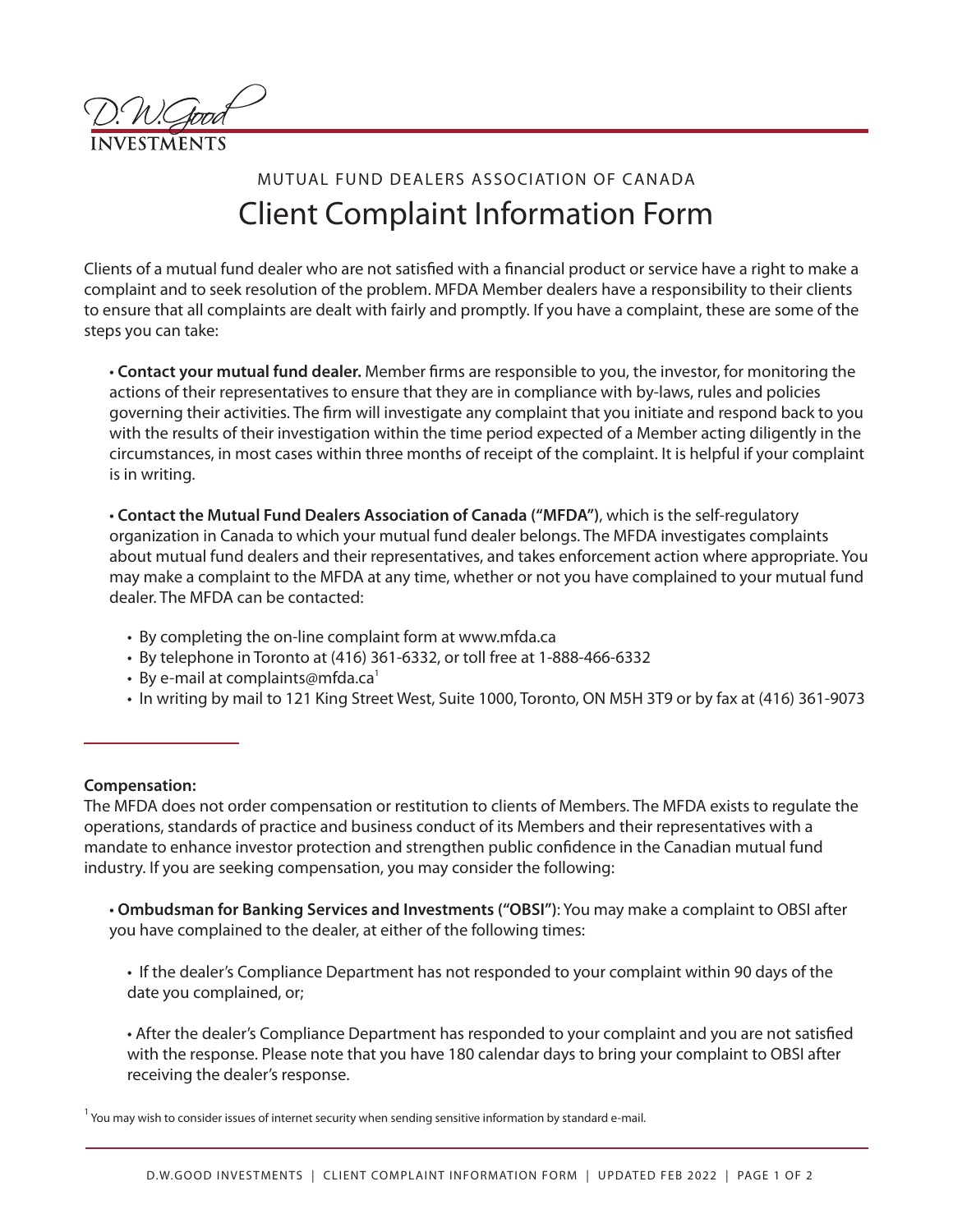

## MUTUAL FUND DEALERS ASSOCIATION OF CANADA Client Complaint Information Form

Clients of a mutual fund dealer who are not satisfied with a financial product or service have a right to make a complaint and to seek resolution of the problem. MFDA Member dealers have a responsibility to their clients to ensure that all complaints are dealt with fairly and promptly. If you have a complaint, these are some of the steps you can take:

• **Contact your mutual fund dealer.** Member firms are responsible to you, the investor, for monitoring the actions of their representatives to ensure that they are in compliance with by-laws, rules and policies governing their activities. The firm will investigate any complaint that you initiate and respond back to you with the results of their investigation within the time period expected of a Member acting diligently in the circumstances, in most cases within three months of receipt of the complaint. It is helpful if your complaint is in writing.

• **Contact the Mutual Fund Dealers Association of Canada ("MFDA")**, which is the self-regulatory organization in Canada to which your mutual fund dealer belongs. The MFDA investigates complaints about mutual fund dealers and their representatives, and takes enforcement action where appropriate. You may make a complaint to the MFDA at any time, whether or not you have complained to your mutual fund dealer. The MFDA can be contacted:

- By completing the on-line complaint form at www.mfda.ca
- By telephone in Toronto at (416) 361-6332, or toll free at 1-888-466-6332
- By e-mail at complaints@mfda.ca $^1$
- In writing by mail to 121 King Street West, Suite 1000, Toronto, ON M5H 3T9 or by fax at (416) 361-9073

## **Compensation:**

The MFDA does not order compensation or restitution to clients of Members. The MFDA exists to regulate the operations, standards of practice and business conduct of its Members and their representatives with a mandate to enhance investor protection and strengthen public confidence in the Canadian mutual fund industry. If you are seeking compensation, you may consider the following:

• **Ombudsman for Banking Services and Investments ("OBSI")**: You may make a complaint to OBSI after you have complained to the dealer, at either of the following times:

• If the dealer's Compliance Department has not responded to your complaint within 90 days of the date you complained, or;

• After the dealer's Compliance Department has responded to your complaint and you are not satisfied with the response. Please note that you have 180 calendar days to bring your complaint to OBSI after receiving the dealer's response.

You may wish to consider issues of internet security when sending sensitive information by standard e-mail.